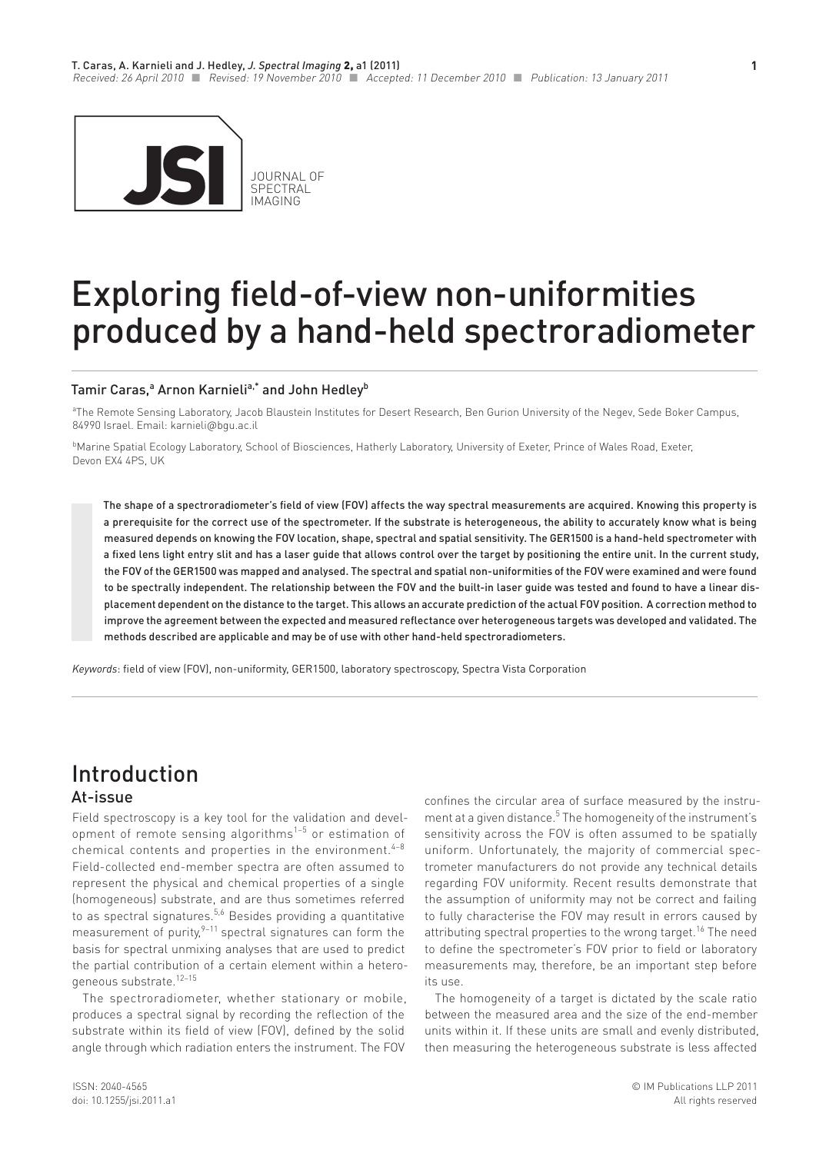

# Exploring field-of-view non-uniformities produced by a hand-held spectroradiometer

#### Tamir Caras,ª Arnon Karnieli<sup>a,\*</sup> and John Hedley<sup>b</sup>

a The Remote Sensing Laboratory, Jacob Blaustein Institutes for Desert Research, Ben Gurion University of the Negev, Sede Boker Campus, 84990 Israel. Email: karnieli@bgu.ac.il

**Marine Spatial Ecology Laboratory, School of Biosciences, Hatherly Laboratory, University of Exeter, Prince of Wales Road, Exeter,** Devon EX4 4PS, UK

The shape of a spectroradiometer's field of view (FOV) affects the way spectral measurements are acquired. Knowing this property is a prerequisite for the correct use of the spectrometer. If the substrate is heterogeneous, the ability to accurately know what is being measured depends on knowing the FOV location, shape, spectral and spatial sensitivity. The GER1500 is a hand-held spectrometer with a fixed lens light entry slit and has a laser guide that allows control over the target by positioning the entire unit. In the current study, the FOV of the GER1500 was mapped and analysed. The spectral and spatial non-uniformities of the FOV were examined and were found to be spectrally independent. The relationship between the FOV and the built-in laser guide was tested and found to have a linear displacement dependent on the distance to the target. This allows an accurate prediction of the actual FOV position. A correction method to improve the agreement between the expected and measured reflectance over heterogeneous targets was developed and validated. The methods described are applicable and may be of use with other hand-held spectroradiometers.

*Keywords*: field of view (FOV), non-uniformity, GER1500, laboratory spectroscopy, Spectra Vista Corporation

### At-issue Introduction

Field spectroscopy is a key tool for the validation and development of remote sensing algorithms<sup> $1-5$ </sup> or estimation of chemical contents and properties in the environment.  $4-8$ Field-collected end-member spectra are often assumed to represent the physical and chemical properties of a single (homogeneous) substrate, and are thus sometimes referred to as spectral signatures.<sup>5,6</sup> Besides providing a quantitative measurement of purity, $9-11$  spectral signatures can form the basis for spectral unmixing analyses that are used to predict the partial contribution of a certain element within a heterogeneous substrate.12–15

The spectroradiometer, whether stationary or mobile, produces a spectral signal by recording the reflection of the substrate within its field of view (FOV), defined by the solid angle through which radiation enters the instrument. The FOV

confines the circular area of surface measured by the instrument at a given distance.<sup>5</sup> The homogeneity of the instrument's sensitivity across the FOV is often assumed to be spatially uniform. Unfortunately, the majority of commercial spectrometer manufacturers do not provide any technical details regarding FOV uniformity. Recent results demonstrate that the assumption of uniformity may not be correct and failing to fully characterise the FOV may result in errors caused by attributing spectral properties to the wrong target.<sup>16</sup> The need to define the spectrometer's FOV prior to field or laboratory measurements may, therefore, be an important step before its use.

The homogeneity of a target is dictated by the scale ratio between the measured area and the size of the end-member units within it. If these units are small and evenly distributed, then measuring the heterogeneous substrate is less affected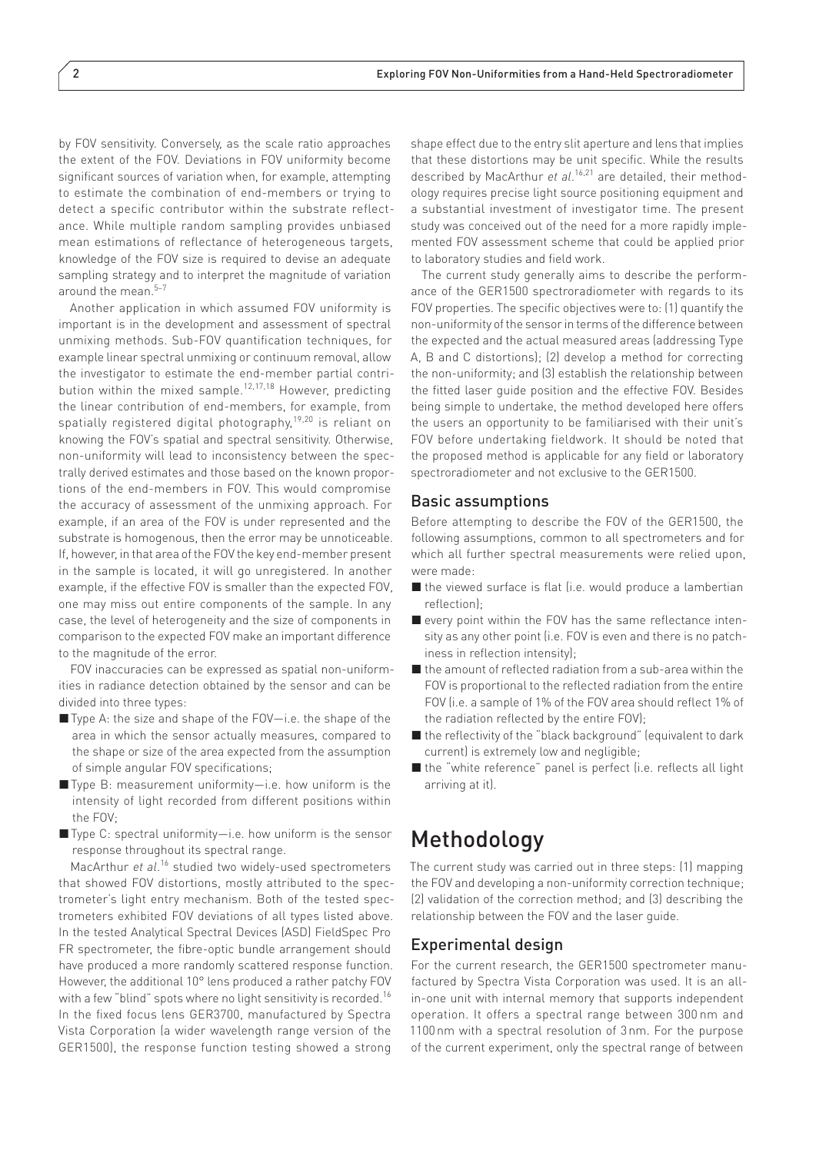by FOV sensitivity. Conversely, as the scale ratio approaches the extent of the FOV. Deviations in FOV uniformity become significant sources of variation when, for example, attempting to estimate the combination of end-members or trying to detect a specific contributor within the substrate reflectance. While multiple random sampling provides unbiased mean estimations of reflectance of heterogeneous targets, knowledge of the FOV size is required to devise an adequate sampling strategy and to interpret the magnitude of variation around the mean.<sup>5-7</sup>

Another application in which assumed FOV uniformity is important is in the development and assessment of spectral unmixing methods. Sub-FOV quantification techniques, for example linear spectral unmixing or continuum removal, allow the investigator to estimate the end-member partial contribution within the mixed sample.12,17,18 However, predicting the linear contribution of end-members, for example, from spatially registered digital photography,<sup>19,20</sup> is reliant on knowing the FOV's spatial and spectral sensitivity. Otherwise, non-uniformity will lead to inconsistency between the spectrally derived estimates and those based on the known proportions of the end-members in FOV. This would compromise the accuracy of assessment of the unmixing approach. For example, if an area of the FOV is under represented and the substrate is homogenous, then the error may be unnoticeable. If, however, in that area of the FOV the key end-member present in the sample is located, it will go unregistered. In another example, if the effective FOV is smaller than the expected FOV, one may miss out entire components of the sample. In any case, the level of heterogeneity and the size of components in comparison to the expected FOV make an important difference to the magnitude of the error.

FOV inaccuracies can be expressed as spatial non-uniformities in radiance detection obtained by the sensor and can be divided into three types:

- Type A: the size and shape of the FOV—i.e. the shape of the area in which the sensor actually measures, compared to the shape or size of the area expected from the assumption of simple angular FOV specifications;
- Type B: measurement uniformity-i.e. how uniform is the intensity of light recorded from different positions within the FOV;
- Type C: spectral uniformity—i.e. how uniform is the sensor response throughout its spectral range.

MacArthur et al.<sup>16</sup> studied two widely-used spectrometers that showed FOV distortions, mostly attributed to the spectrometer's light entry mechanism. Both of the tested spectrometers exhibited FOV deviations of all types listed above. In the tested Analytical Spectral Devices (ASD) FieldSpec Pro FR spectrometer, the fibre-optic bundle arrangement should have produced a more randomly scattered response function. However, the additional 10° lens produced a rather patchy FOV with a few "blind" spots where no light sensitivity is recorded.<sup>16</sup> In the fixed focus lens GER3700, manufactured by Spectra Vista Corporation (a wider wavelength range version of the GER1500), the response function testing showed a strong

shape effect due to the entry slit aperture and lens that implies that these distortions may be unit specific. While the results described by MacArthur *et al*. 16,21 are detailed, their methodology requires precise light source positioning equipment and a substantial investment of investigator time. The present study was conceived out of the need for a more rapidly implemented FOV assessment scheme that could be applied prior to laboratory studies and field work.

The current study generally aims to describe the performance of the GER1500 spectroradiometer with regards to its FOV properties. The specific objectives were to: (1) quantify the non-uniformity of the sensor in terms of the difference between the expected and the actual measured areas (addressing Type A, B and C distortions); (2) develop a method for correcting the non-uniformity; and (3) establish the relationship between the fitted laser guide position and the effective FOV. Besides being simple to undertake, the method developed here offers the users an opportunity to be familiarised with their unit's FOV before undertaking fieldwork. It should be noted that the proposed method is applicable for any field or laboratory spectroradiometer and not exclusive to the GER1500.

#### Basic assumptions

Before attempting to describe the FOV of the GER1500, the following assumptions, common to all spectrometers and for which all further spectral measurements were relied upon, were made:

- the viewed surface is flat (i.e. would produce a lambertian reflection);
- every point within the FOV has the same reflectance intensity as any other point (i.e. FOV is even and there is no patchiness in reflection intensity);
- the amount of reflected radiation from a sub-area within the FOV is proportional to the reflected radiation from the entire FOV (i.e. a sample of 1% of the FOV area should reflect 1% of the radiation reflected by the entire FOV);
- the reflectivity of the "black background" (equivalent to dark current) is extremely low and negligible;
- the "white reference" panel is perfect (i.e. reflects all light arriving at it).

# Methodology

The current study was carried out in three steps: (1) mapping the FOV and developing a non-uniformity correction technique; (2) validation of the correction method; and (3) describing the relationship between the FOV and the laser guide.

#### Experimental design

For the current research, the GER1500 spectrometer manufactured by Spectra Vista Corporation was used. It is an allin-one unit with internal memory that supports independent operation. It offers a spectral range between 300 nm and 1100nm with a spectral resolution of 3nm. For the purpose of the current experiment, only the spectral range of between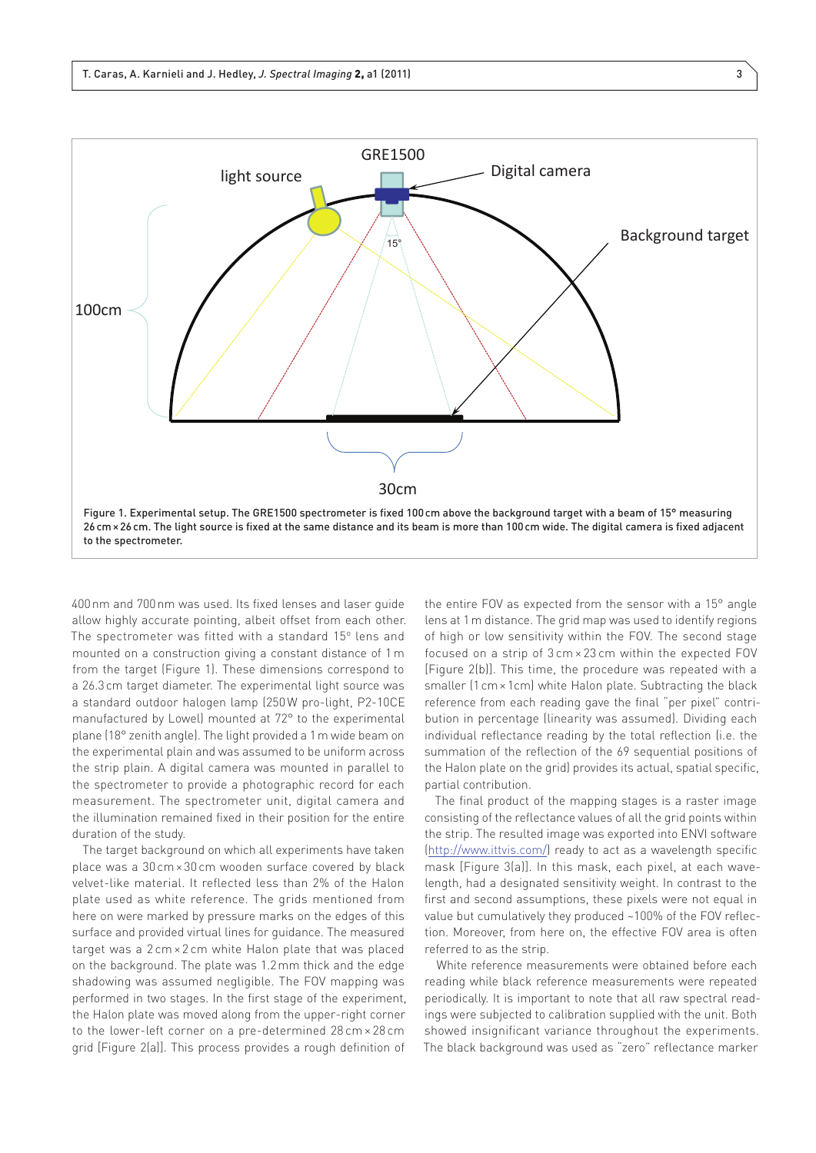

400nm and 700nm was used. Its fixed lenses and laser guide allow highly accurate pointing, albeit offset from each other. The spectrometer was fitted with a standard 15° lens and mounted on a construction giving a constant distance of 1 m from the target (Figure 1). These dimensions correspond to a 26.3cm target diameter. The experimental light source was a standard outdoor halogen lamp (250W pro-light, P2-10CE manufactured by Lowel) mounted at 72° to the experimental plane (18° zenith angle). The light provided a 1m wide beam on the experimental plain and was assumed to be uniform across the strip plain. A digital camera was mounted in parallel to the spectrometer to provide a photographic record for each measurement. The spectrometer unit, digital camera and the illumination remained fixed in their position for the entire duration of the study.

The target background on which all experiments have taken place was a 30 cm× 30 cm wooden surface covered by black velvet-like material. It reflected less than 2% of the Halon plate used as white reference. The grids mentioned from here on were marked by pressure marks on the edges of this surface and provided virtual lines for guidance. The measured target was a 2 cm × 2 cm white Halon plate that was placed on the background. The plate was 1.2mm thick and the edge shadowing was assumed negligible. The FOV mapping was performed in two stages. In the first stage of the experiment, the Halon plate was moved along from the upper-right corner to the lower-left corner on a pre-determined 28 cm × 28 cm grid [Figure 2(a)]. This process provides a rough definition of

the entire FOV as expected from the sensor with a 15° angle lens at 1m distance. The grid map was used to identify regions of high or low sensitivity within the FOV. The second stage focused on a strip of 3 cm × 23 cm within the expected FOV [Figure 2(b)]. This time, the procedure was repeated with a smaller (1cm×1cm) white Halon plate. Subtracting the black reference from each reading gave the final "per pixel" contribution in percentage (linearity was assumed). Dividing each individual reflectance reading by the total reflection (i.e. the summation of the reflection of the 69 sequential positions of the Halon plate on the grid) provides its actual, spatial specific, partial contribution.

The final product of the mapping stages is a raster image consisting of the reflectance values of all the grid points within the strip. The resulted image was exported into ENVI software [\(http://www.ittvis.com/](http://www.ittvis.com/)) ready to act as a wavelength specific mask [Figure 3(a)]. In this mask, each pixel, at each wavelength, had a designated sensitivity weight. In contrast to the first and second assumptions, these pixels were not equal in value but cumulatively they produced ~100% of the FOV reflection. Moreover, from here on, the effective FOV area is often referred to as the strip.

White reference measurements were obtained before each reading while black reference measurements were repeated periodically. It is important to note that all raw spectral readings were subjected to calibration supplied with the unit. Both showed insignificant variance throughout the experiments. The black background was used as "zero" reflectance marker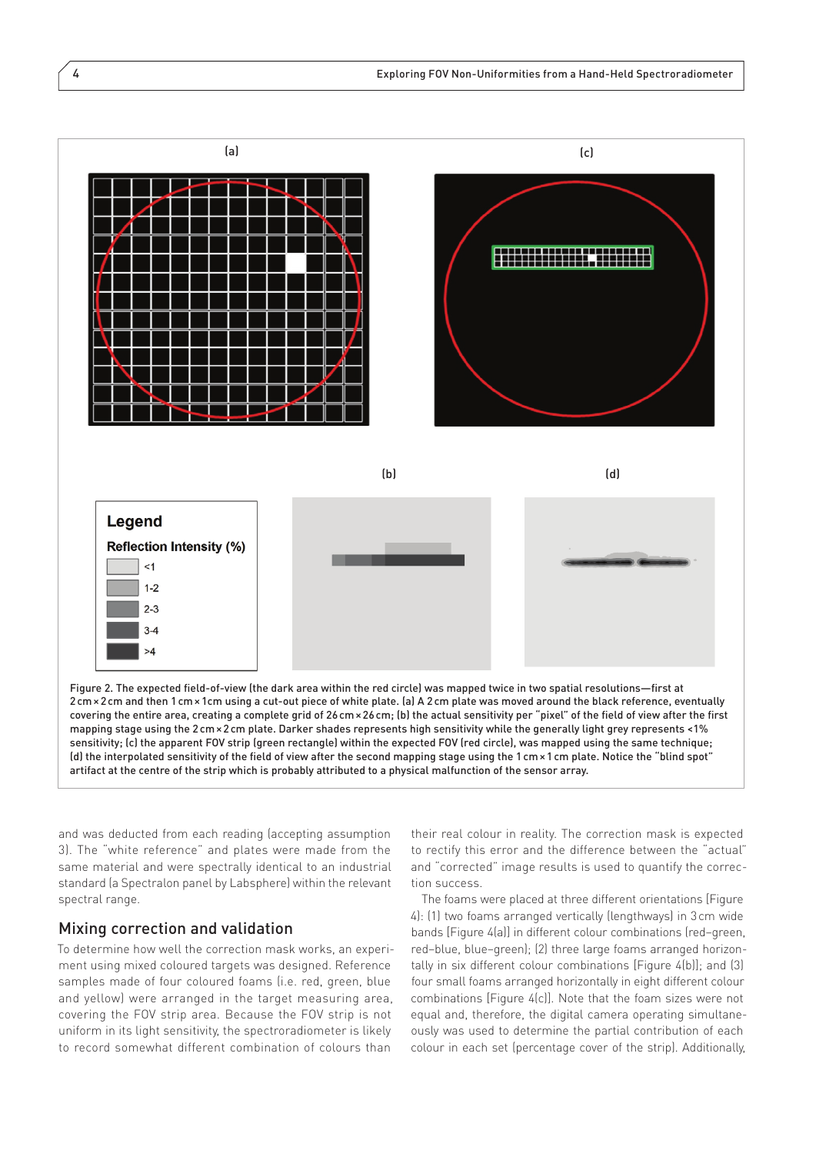

2cm×2cm and then 1cm×1cm using a cut-out piece of white plate. (a) A 2cm plate was moved around the black reference, eventually covering the entire area, creating a complete grid of 26cm×26cm; (b) the actual sensitivity per "pixel" of the field of view after the first mapping stage using the 2cm×2cm plate. Darker shades represents high sensitivity while the generally light grey represents <1% sensitivity; (c) the apparent FOV strip (green rectangle) within the expected FOV (red circle), was mapped using the same technique; (d) the interpolated sensitivity of the field of view after the second mapping stage using the 1cm×1cm plate. Notice the "blind spot" artifact at the centre of the strip which is probably attributed to a physical malfunction of the sensor array.

and was deducted from each reading (accepting assumption 3). The "white reference" and plates were made from the same material and were spectrally identical to an industrial standard (a Spectralon panel by Labsphere) within the relevant spectral range.

#### Mixing correction and validation

To determine how well the correction mask works, an experiment using mixed coloured targets was designed. Reference samples made of four coloured foams (i.e. red, green, blue and yellow) were arranged in the target measuring area, covering the FOV strip area. Because the FOV strip is not uniform in its light sensitivity, the spectroradiometer is likely to record somewhat different combination of colours than

their real colour in reality. The correction mask is expected to rectify this error and the difference between the "actual" and "corrected" image results is used to quantify the correction success.

The foams were placed at three different orientations [Figure] 4): (1) two foams arranged vertically (lengthways) in 3cm wide bands [Figure 4(a)] in different colour combinations (red–green, red–blue, blue–green); (2) three large foams arranged horizontally in six different colour combinations [Figure 4(b)]; and (3) four small foams arranged horizontally in eight different colour combinations [Figure 4(c)]. Note that the foam sizes were not equal and, therefore, the digital camera operating simultaneously was used to determine the partial contribution of each colour in each set (percentage cover of the strip). Additionally,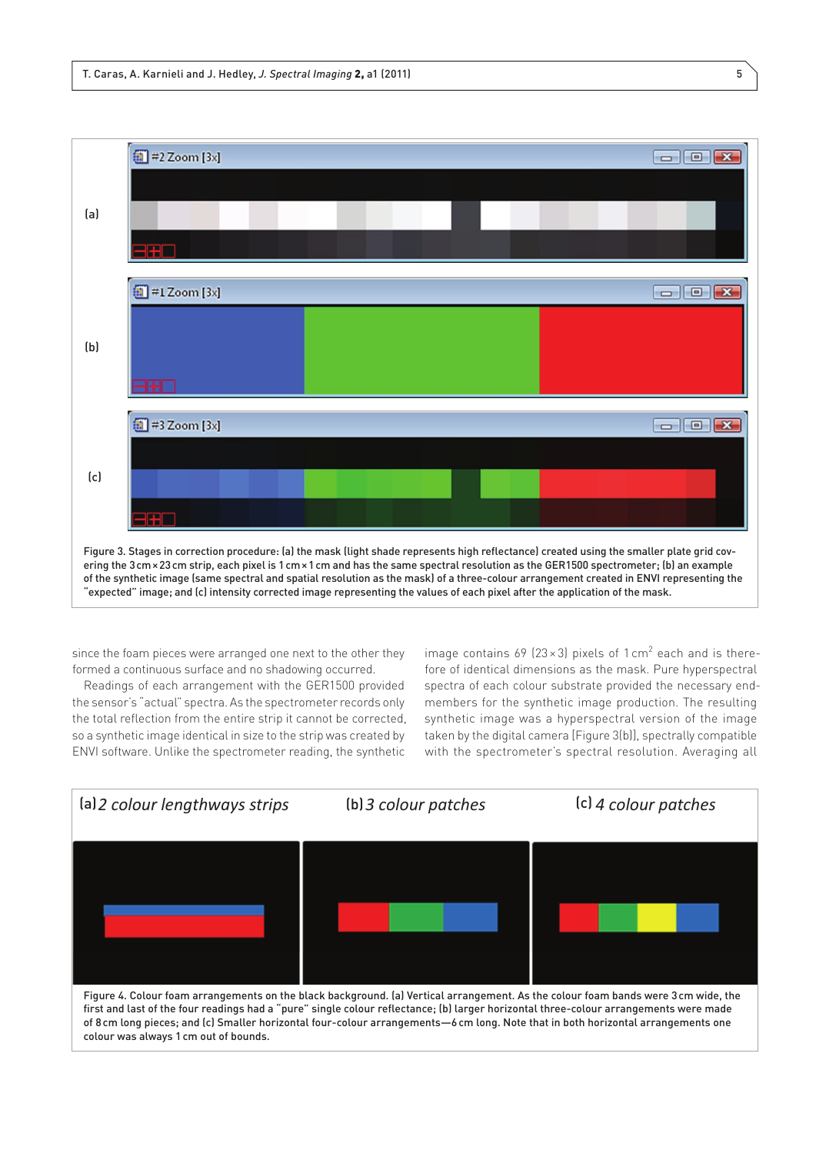

since the foam pieces were arranged one next to the other they formed a continuous surface and no shadowing occurred.

Readings of each arrangement with the GER1500 provided the sensor's "actual" spectra. As the spectrometer records only the total reflection from the entire strip it cannot be corrected, so a synthetic image identical in size to the strip was created by ENVI software. Unlike the spectrometer reading, the synthetic

image contains 69 (23  $\times$  3) pixels of 1 cm<sup>2</sup> each and is therefore of identical dimensions as the mask. Pure hyperspectral spectra of each colour substrate provided the necessary endmembers for the synthetic image production. The resulting synthetic image was a hyperspectral version of the image taken by the digital camera [Figure 3(b)], spectrally compatible with the spectrometer's spectral resolution. Averaging all

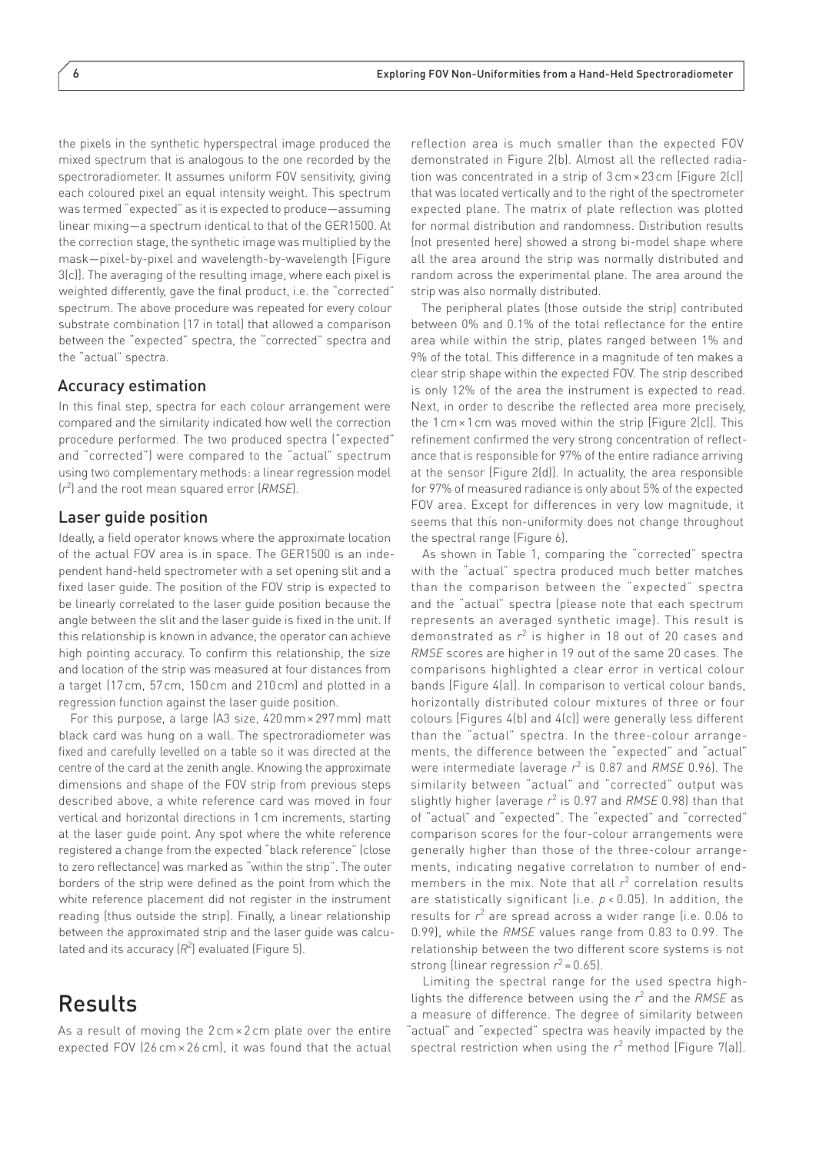the pixels in the synthetic hyperspectral image produced the mixed spectrum that is analogous to the one recorded by the spectroradiometer. It assumes uniform FOV sensitivity, giving each coloured pixel an equal intensity weight. This spectrum was termed "expected" as it is expected to produce—assuming linear mixing—a spectrum identical to that of the GER1500. At the correction stage, the synthetic image was multiplied by the mask—pixel-by-pixel and wavelength-by-wavelength [Figure 3(c)]. The averaging of the resulting image, where each pixel is weighted differently, gave the final product, i.e. the "corrected" spectrum. The above procedure was repeated for every colour substrate combination (17 in total) that allowed a comparison between the "expected" spectra, the "corrected" spectra and the "actual" spectra.

#### Accuracy estimation

In this final step, spectra for each colour arrangement were compared and the similarity indicated how well the correction procedure performed. The two produced spectra ("expected" and "corrected") were compared to the "actual" spectrum using two complementary methods: a linear regression model (*r* 2 ) and the root mean squared error (*RMSE*).

#### Laser guide position

Ideally, a field operator knows where the approximate location of the actual FOV area is in space. The GER1500 is an independent hand-held spectrometer with a set opening slit and a fixed laser guide. The position of the FOV strip is expected to be linearly correlated to the laser guide position because the angle between the slit and the laser guide is fixed in the unit. If this relationship is known in advance, the operator can achieve high pointing accuracy. To confirm this relationship, the size and location of the strip was measured at four distances from a target (17 cm, 57 cm, 150 cm and 210 cm) and plotted in a regression function against the laser guide position.

For this purpose, a large (A3 size, 420mm× 297mm) matt black card was hung on a wall. The spectroradiometer was fixed and carefully levelled on a table so it was directed at the centre of the card at the zenith angle. Knowing the approximate dimensions and shape of the FOV strip from previous steps described above, a white reference card was moved in four vertical and horizontal directions in 1cm increments, starting at the laser guide point. Any spot where the white reference registered a change from the expected "black reference" (close to zero reflectance) was marked as "within the strip". The outer borders of the strip were defined as the point from which the white reference placement did not register in the instrument reading (thus outside the strip). Finally, a linear relationship between the approximated strip and the laser guide was calculated and its accuracy  $(R^2)$  evaluated (Figure 5).

## Results

As a result of moving the  $2 \text{ cm} \times 2 \text{ cm}$  plate over the entire expected FOV (26 cm × 26 cm), it was found that the actual reflection area is much smaller than the expected FOV demonstrated in Figure 2(b). Almost all the reflected radiation was concentrated in a strip of 3 cm× 23 cm [Figure 2(c)] that was located vertically and to the right of the spectrometer expected plane. The matrix of plate reflection was plotted for normal distribution and randomness. Distribution results (not presented here) showed a strong bi-model shape where all the area around the strip was normally distributed and random across the experimental plane. The area around the strip was also normally distributed.

The peripheral plates (those outside the strip) contributed between 0% and 0.1% of the total reflectance for the entire area while within the strip, plates ranged between 1% and 9% of the total. This difference in a magnitude of ten makes a clear strip shape within the expected FOV. The strip described is only 12% of the area the instrument is expected to read. Next, in order to describe the reflected area more precisely, the 1cm×1cm was moved within the strip [Figure 2(c)]. This refinement confirmed the very strong concentration of reflectance that is responsible for 97% of the entire radiance arriving at the sensor [Figure 2(d)]. In actuality, the area responsible for 97% of measured radiance is only about 5% of the expected FOV area. Except for differences in very low magnitude, it seems that this non-uniformity does not change throughout the spectral range (Figure 6).

As shown in Table 1, comparing the "corrected" spectra with the "actual" spectra produced much better matches than the comparison between the "expected" spectra and the "actual" spectra (please note that each spectrum represents an averaged synthetic image). This result is demonstrated as  $r^2$  is higher in 18 out of 20 cases and *RMSE* scores are higher in 19 out of the same 20 cases. The comparisons highlighted a clear error in vertical colour bands [Figure 4(a)]. In comparison to vertical colour bands, horizontally distributed colour mixtures of three or four colours [Figures 4(b) and 4(c)] were generally less different than the "actual" spectra. In the three-colour arrangements, the difference between the "expected" and "actual" were intermediate (average *r*<sup>2</sup> is 0.87 and *RMSE* 0.96). The similarity between "actual" and "corrected" output was slightly higher (average *r*<sup>2</sup> is 0.97 and *RMSE* 0.98) than that of "actual" and "expected". The "expected" and "corrected" comparison scores for the four-colour arrangements were generally higher than those of the three-colour arrangements, indicating negative correlation to number of endmembers in the mix. Note that all r<sup>2</sup> correlation results are statistically significant (i.e. *p* < 0.05). In addition, the results for  $r^2$  are spread across a wider range (i.e. 0.06 to 0.99), while the *RMSE* values range from 0.83 to 0.99. The relationship between the two different score systems is not strong (linear regression  $r^2 = 0.65$ ).

Limiting the spectral range for the used spectra highlights the difference between using the  $r^2$  and the RMSE as a measure of difference. The degree of similarity between "actual" and "expected" spectra was heavily impacted by the spectral restriction when using the  $r^2$  method [Figure 7(a)].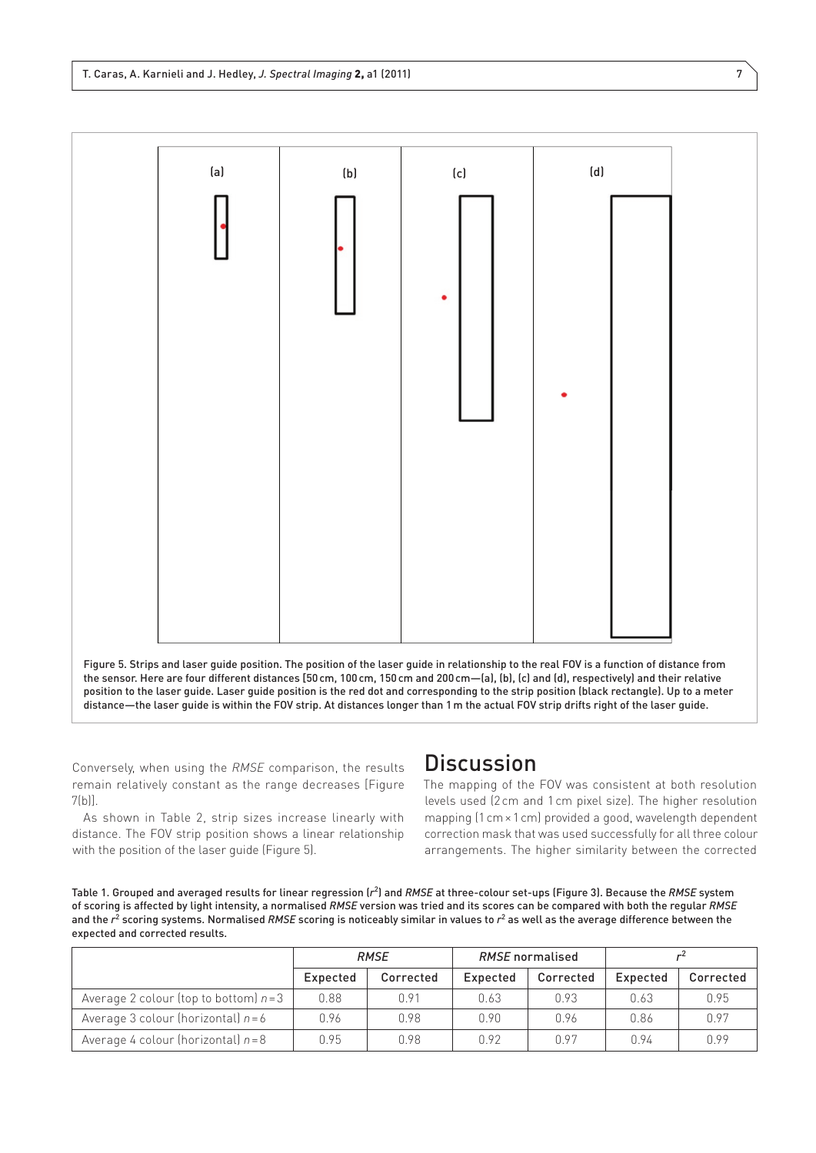

Figure 5. Strips and laser guide position. The position of the laser guide in relationship to the real FOV is a function of distance from the sensor. Here are four different distances [50cm, 100cm, 150cm and 200cm—(a), (b), (c) and (d), respectively) and their relative position to the laser guide. Laser guide position is the red dot and corresponding to the strip position (black rectangle). Up to a meter distance—the laser guide is within the FOV strip. At distances longer than 1m the actual FOV strip drifts right of the laser guide.

Conversely, when using the *RMSE* comparison, the results remain relatively constant as the range decreases [Figure 7(b)].

As shown in Table 2, strip sizes increase linearly with distance. The FOV strip position shows a linear relationship with the position of the laser guide (Figure 5).

# **Discussion**

The mapping of the FOV was consistent at both resolution levels used (2cm and 1 cm pixel size). The higher resolution mapping (1cm×1cm) provided a good, wavelength dependent correction mask that was used successfully for all three colour arrangements. The higher similarity between the corrected

Table 1. Grouped and averaged results for linear regression (*r*<sup>2</sup> ) and *RMSE* at three-colour set-ups (Figure 3). Because the *RMSE* system of scoring is affected by light intensity, a normalised *RMSE* version was tried and its scores can be compared with both the regular *RMSE* and the  $r^2$  scoring systems. Normalised RMSE scoring is noticeably similar in values to  $r^2$  as well as the average difference between the expected and corrected results.

|                                        | <b>RMSE</b> |           | <b>RMSE</b> normalised |           |          |           |
|----------------------------------------|-------------|-----------|------------------------|-----------|----------|-----------|
|                                        | Expected    | Corrected | Expected               | Corrected | Expected | Corrected |
| Average 2 colour (top to bottom) $n=3$ | 0.88        | 0.91      | 0.63                   | 0.93      | 0.63     | O 95      |
| Average 3 colour (horizontal) $n = 6$  | 0.96        | n 98      | 0.90                   | 0.96      | 0.86     | 0.97      |
| Average 4 colour (horizontal) $n=8$    | 0.95        | 0.98      | 0.92                   | 0.97      | 0.94     | n 99      |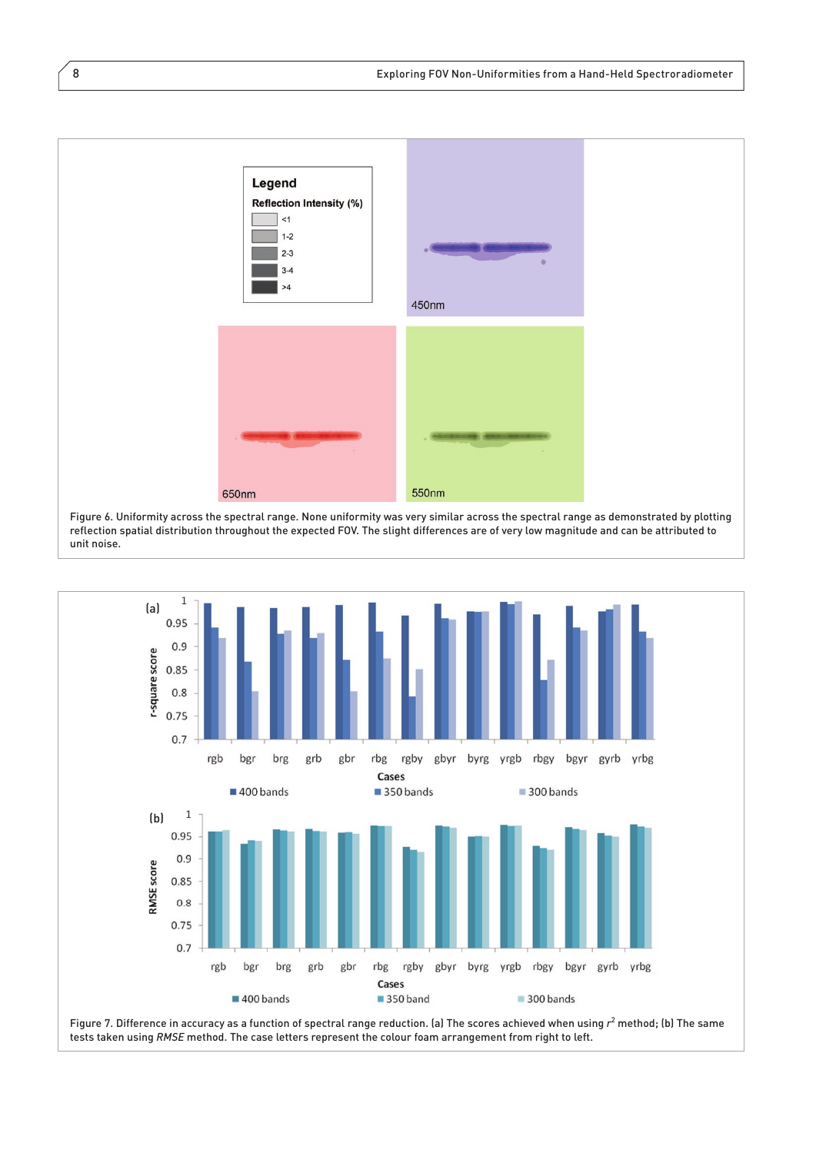

reflection spatial distribution throughout the expected FOV. The slight differences are of very low magnitude and can be attributed to unit noise.



tests taken using *RMSE* method. The case letters represent the colour foam arrangement from right to left.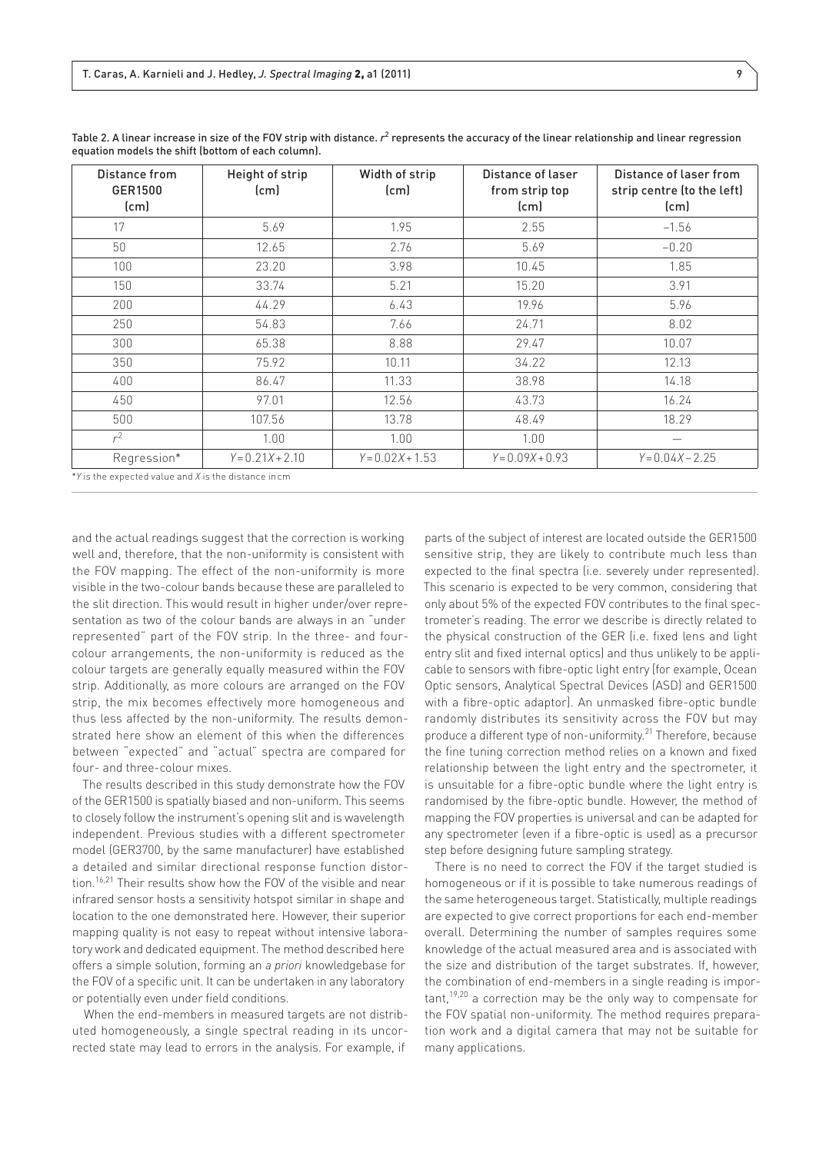| Distance from<br>GER1500<br>[cm]                                                                                                                                                                                                              | Height of strip<br>[cm] | Width of strip<br>(c <sub>m</sub> ) | Distance of laser<br>from strip top<br>[cm] | Distance of laser from<br>strip centre (to the left)<br>[cm] |
|-----------------------------------------------------------------------------------------------------------------------------------------------------------------------------------------------------------------------------------------------|-------------------------|-------------------------------------|---------------------------------------------|--------------------------------------------------------------|
| 17                                                                                                                                                                                                                                            | 5.69                    | 1.95                                | 2.55                                        | $-1.56$                                                      |
| 50                                                                                                                                                                                                                                            | 12.65                   | 2.76                                | 5.69                                        | $-0.20$                                                      |
| 100                                                                                                                                                                                                                                           | 23.20                   | 3.98                                | 10.45                                       | 1.85                                                         |
| 150                                                                                                                                                                                                                                           | 33.74                   | 5.21                                | 15.20                                       | 3.91                                                         |
| 200                                                                                                                                                                                                                                           | 44.29                   | 6.43                                | 19.96                                       | 5.96                                                         |
| 250                                                                                                                                                                                                                                           | 54.83                   | 7.66                                | 24.71                                       | 8.02                                                         |
| 300                                                                                                                                                                                                                                           | 65.38                   | 8.88                                | 29.47                                       | 10.07                                                        |
| 350                                                                                                                                                                                                                                           | 75.92                   | 10.11                               | 34.22                                       | 12.13                                                        |
| 400                                                                                                                                                                                                                                           | 86.47                   | 11.33                               | 38.98                                       | 14.18                                                        |
| 450                                                                                                                                                                                                                                           | 97.01                   | 12.56                               | 43.73                                       | 16.24                                                        |
| 500                                                                                                                                                                                                                                           | 107.56                  | 13.78                               | 48.49                                       | 18.29                                                        |
| $r^2$                                                                                                                                                                                                                                         | 1.00                    | 1.00                                | 1.00                                        |                                                              |
| Regression*<br>SEVAND THE CONTRACT CONTRACT CONTRACT CHANGE IN THE CONTRACT CONTRACT CONTRACT CONTRACT CONTRACT CONTRACT CONTRACT CONTRACT CONTRACT CONTRACT CONTRACT CONTRACT CONTRACT CONTRACT CONTRACT CONTRACT CONTRACT CONTRACT CONTRACT | $Y = 0.21X + 2.10$      | $Y = 0.02X + 1.53$                  | $Y = 0.09X + 0.93$                          | $Y = 0.04X - 2.25$                                           |

Table 2. A linear increase in size of the FOV strip with distance.  $r^2$  represents the accuracy of the linear relationship and linear regression equation models the shift (bottom of each column).

\**Y* is the expected value and *X* is the distance incm

and the actual readings suggest that the correction is working well and, therefore, that the non-uniformity is consistent with the FOV mapping. The effect of the non-uniformity is more visible in the two-colour bands because these are paralleled to the slit direction. This would result in higher under/over representation as two of the colour bands are always in an "under represented" part of the FOV strip. In the three- and fourcolour arrangements, the non-uniformity is reduced as the colour targets are generally equally measured within the FOV strip. Additionally, as more colours are arranged on the FOV strip, the mix becomes effectively more homogeneous and thus less affected by the non-uniformity. The results demonstrated here show an element of this when the differences between "expected" and "actual" spectra are compared for four- and three-colour mixes.

The results described in this study demonstrate how the FOV of the GER1500 is spatially biased and non-uniform. This seems to closely follow the instrument's opening slit and is wavelength independent. Previous studies with a different spectrometer model (GER3700, by the same manufacturer) have established a detailed and similar directional response function distortion.<sup>16,21</sup> Their results show how the FOV of the visible and near infrared sensor hosts a sensitivity hotspot similar in shape and location to the one demonstrated here. However, their superior mapping quality is not easy to repeat without intensive laboratory work and dedicated equipment. The method described here offers a simple solution, forming an *a priori* knowledgebase for the FOV of a specific unit. It can be undertaken in any laboratory or potentially even under field conditions.

When the end-members in measured targets are not distributed homogeneously, a single spectral reading in its uncorrected state may lead to errors in the analysis. For example, if

parts of the subject of interest are located outside the GER1500 sensitive strip, they are likely to contribute much less than expected to the final spectra (i.e. severely under represented). This scenario is expected to be very common, considering that only about 5% of the expected FOV contributes to the final spectrometer's reading. The error we describe is directly related to the physical construction of the GER (i.e. fixed lens and light entry slit and fixed internal optics) and thus unlikely to be applicable to sensors with fibre-optic light entry [for example, Ocean Optic sensors, Analytical Spectral Devices (ASD) and GER1500 with a fibre-optic adaptor]. An unmasked fibre-optic bundle randomly distributes its sensitivity across the FOV but may produce a different type of non-uniformity.<sup>21</sup> Therefore, because the fine tuning correction method relies on a known and fixed relationship between the light entry and the spectrometer, it is unsuitable for a fibre-optic bundle where the light entry is randomised by the fibre-optic bundle. However, the method of mapping the FOV properties is universal and can be adapted for any spectrometer (even if a fibre-optic is used) as a precursor step before designing future sampling strategy.

There is no need to correct the FOV if the target studied is homogeneous or if it is possible to take numerous readings of the same heterogeneous target. Statistically, multiple readings are expected to give correct proportions for each end-member overall. Determining the number of samples requires some knowledge of the actual measured area and is associated with the size and distribution of the target substrates. If, however, the combination of end-members in a single reading is impor $t$ ant,<sup>19,20</sup> a correction may be the only way to compensate for the FOV spatial non-uniformity. The method requires preparation work and a digital camera that may not be suitable for many applications.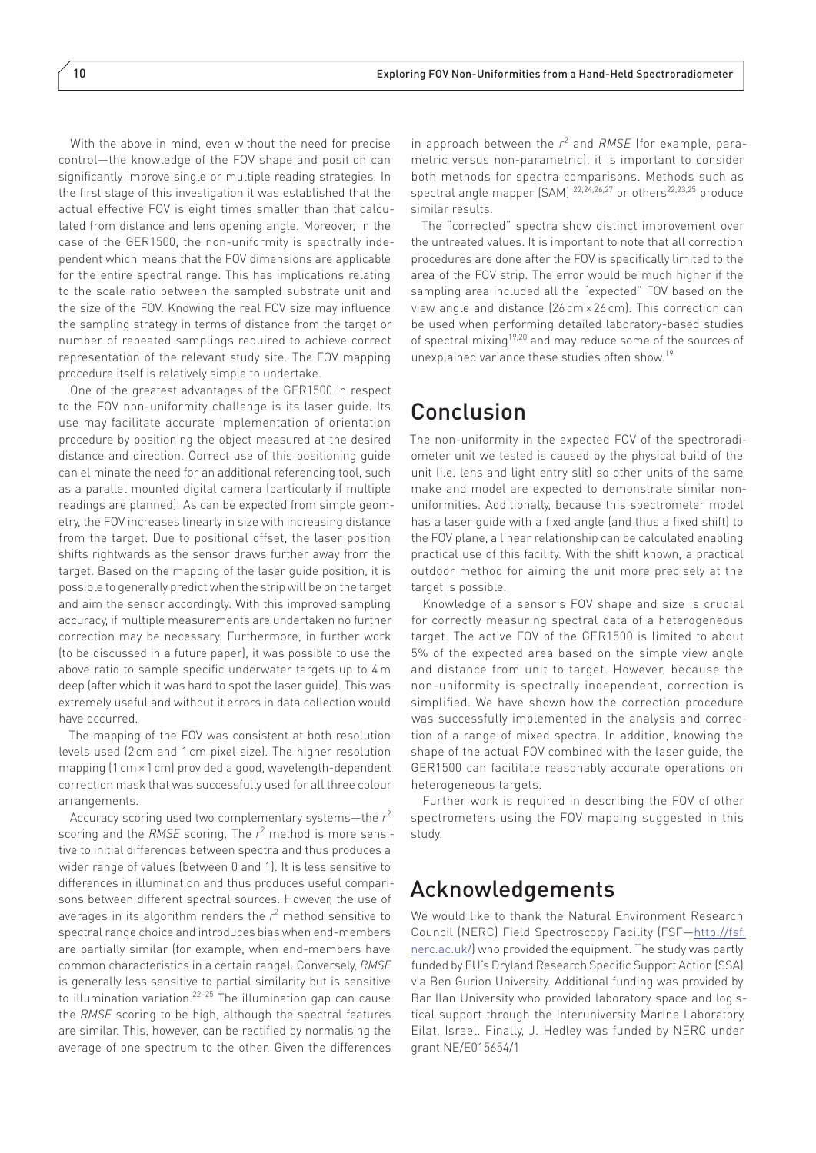With the above in mind, even without the need for precise control—the knowledge of the FOV shape and position can significantly improve single or multiple reading strategies. In the first stage of this investigation it was established that the actual effective FOV is eight times smaller than that calculated from distance and lens opening angle. Moreover, in the case of the GER1500, the non-uniformity is spectrally independent which means that the FOV dimensions are applicable for the entire spectral range. This has implications relating to the scale ratio between the sampled substrate unit and the size of the FOV. Knowing the real FOV size may influence the sampling strategy in terms of distance from the target or number of repeated samplings required to achieve correct representation of the relevant study site. The FOV mapping procedure itself is relatively simple to undertake.

One of the greatest advantages of the GER1500 in respect to the FOV non-uniformity challenge is its laser guide. Its use may facilitate accurate implementation of orientation procedure by positioning the object measured at the desired distance and direction. Correct use of this positioning guide can eliminate the need for an additional referencing tool, such as a parallel mounted digital camera (particularly if multiple readings are planned). As can be expected from simple geometry, the FOV increases linearly in size with increasing distance from the target. Due to positional offset, the laser position shifts rightwards as the sensor draws further away from the target. Based on the mapping of the laser guide position, it is possible to generally predict when the strip will be on the target and aim the sensor accordingly. With this improved sampling accuracy, if multiple measurements are undertaken no further correction may be necessary. Furthermore, in further work (to be discussed in a future paper), it was possible to use the above ratio to sample specific underwater targets up to 4 m deep (after which it was hard to spot the laser guide). This was extremely useful and without it errors in data collection would have occurred.

The mapping of the FOV was consistent at both resolution levels used (2cm and 1 cm pixel size). The higher resolution mapping (1cm×1cm) provided a good, wavelength-dependent correction mask that was successfully used for all three colour arrangements.

Accuracy scoring used two complementary systems—the *r* 2 scoring and the *RMSE* scoring. The  $r^2$  method is more sensitive to initial differences between spectra and thus produces a wider range of values (between 0 and 1). It is less sensitive to differences in illumination and thus produces useful comparisons between different spectral sources. However, the use of averages in its algorithm renders the  $r^2$  method sensitive to spectral range choice and introduces bias when end-members are partially similar (for example, when end-members have common characteristics in a certain range). Conversely, *RMSE* is generally less sensitive to partial similarity but is sensitive to illumination variation.22–25 The illumination gap can cause the *RMSE* scoring to be high, although the spectral features are similar. This, however, can be rectified by normalising the average of one spectrum to the other. Given the differences

in approach between the *r*<sup>2</sup> and *RMSE* (for example, parametric versus non-parametric), it is important to consider both methods for spectra comparisons. Methods such as spectral angle mapper (SAM) <sup>22,24,26,27</sup> or others<sup>22,23,25</sup> produce similar results.

The "corrected" spectra show distinct improvement over the untreated values. It is important to note that all correction procedures are done after the FOV is specifically limited to the area of the FOV strip. The error would be much higher if the sampling area included all the "expected" FOV based on the view angle and distance (26 cm× 26 cm). This correction can be used when performing detailed laboratory-based studies of spectral mixing19,20 and may reduce some of the sources of unexplained variance these studies often show.19

## Conclusion

The non-uniformity in the expected FOV of the spectroradiometer unit we tested is caused by the physical build of the unit (i.e. lens and light entry slit) so other units of the same make and model are expected to demonstrate similar nonuniformities. Additionally, because this spectrometer model has a laser guide with a fixed angle (and thus a fixed shift) to the FOV plane, a linear relationship can be calculated enabling practical use of this facility. With the shift known, a practical outdoor method for aiming the unit more precisely at the target is possible.

Knowledge of a sensor's FOV shape and size is crucial for correctly measuring spectral data of a heterogeneous target. The active FOV of the GER1500 is limited to about 5% of the expected area based on the simple view angle and distance from unit to target. However, because the non-uniformity is spectrally independent, correction is simplified. We have shown how the correction procedure was successfully implemented in the analysis and correction of a range of mixed spectra. In addition, knowing the shape of the actual FOV combined with the laser guide, the GER1500 can facilitate reasonably accurate operations on heterogeneous targets.

Further work is required in describing the FOV of other spectrometers using the FOV mapping suggested in this study.

# Acknowledgements

We would like to thank the Natural Environment Research Council (NERC) Field Spectroscopy Facility (FSF[—http://fsf.](http://fsf.nerc.ac.uk/) [nerc.ac.uk/](http://fsf.nerc.ac.uk/)) who provided the equipment. The study was partly funded by EU's Dryland Research Specific Support Action (SSA) via Ben Gurion University. Additional funding was provided by Bar Ilan University who provided laboratory space and logistical support through the Interuniversity Marine Laboratory, Eilat, Israel. Finally, J. Hedley was funded by NERC under grant NE/E015654/1